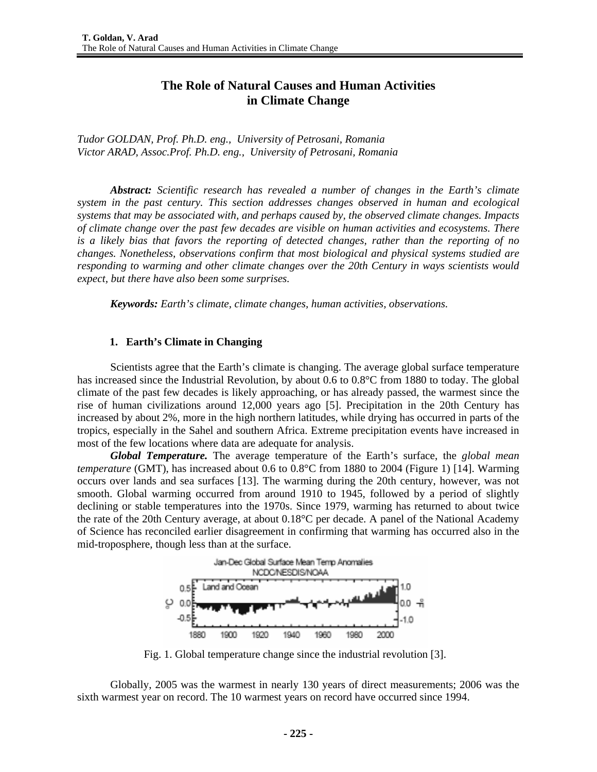# **The Role of Natural Causes and Human Activities in Climate Change**

*Tudor GOLDAN, Prof. Ph.D. eng., University of Petrosani, Romania Victor ARAD, Assoc.Prof. Ph.D. eng., University of Petrosani, Romania* 

*Abstract: Scientific research has revealed a number of changes in the Earth's climate system in the past century. This section addresses changes observed in human and ecological systems that may be associated with, and perhaps caused by, the observed climate changes. Impacts of climate change over the past few decades are visible on human activities and ecosystems. There is a likely bias that favors the reporting of detected changes, rather than the reporting of no changes. Nonetheless, observations confirm that most biological and physical systems studied are responding to warming and other climate changes over the 20th Century in ways scientists would expect, but there have also been some surprises.* 

*Keywords: Earth's climate, climate changes, human activities, observations.* 

#### **1. Earth's Climate in Changing**

Scientists agree that the Earth's climate is changing. The average global surface temperature has increased since the Industrial Revolution, by about 0.6 to 0.8°C from 1880 to today. The global climate of the past few decades is likely approaching, or has already passed, the warmest since the rise of human civilizations around 12,000 years ago [5]. Precipitation in the 20th Century has increased by about 2%, more in the high northern latitudes, while drying has occurred in parts of the tropics, especially in the Sahel and southern Africa. Extreme precipitation events have increased in most of the few locations where data are adequate for analysis.

*Global Temperature.* The average temperature of the Earth's surface, the *global mean temperature* (GMT), has increased about 0.6 to 0.8°C from 1880 to 2004 (Figure 1) [14]. Warming occurs over lands and sea surfaces [13]. The warming during the 20th century, however, was not smooth. Global warming occurred from around 1910 to 1945, followed by a period of slightly declining or stable temperatures into the 1970s. Since 1979, warming has returned to about twice the rate of the 20th Century average, at about 0.18°C per decade. A panel of the National Academy of Science has reconciled earlier disagreement in confirming that warming has occurred also in the mid-troposphere, though less than at the surface.



Fig. 1. Global temperature change since the industrial revolution [3].

Globally, 2005 was the warmest in nearly 130 years of direct measurements; 2006 was the sixth warmest year on record. The 10 warmest years on record have occurred since 1994.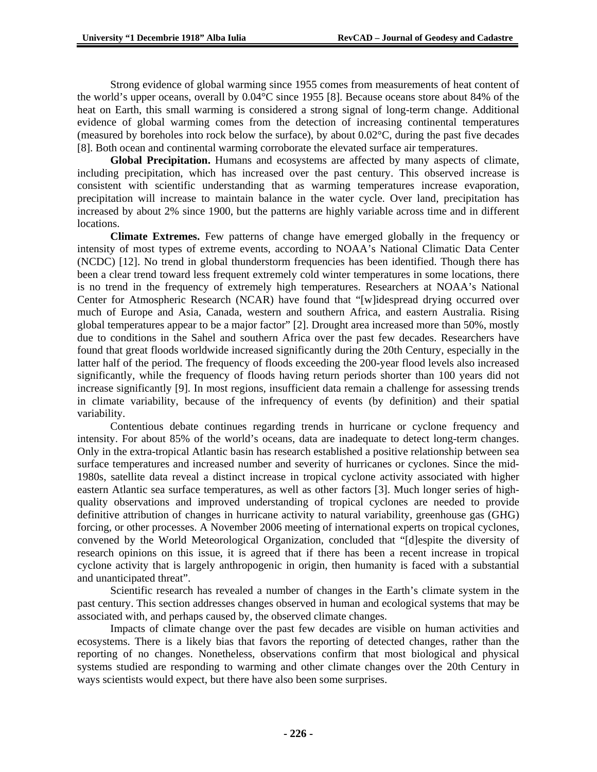Strong evidence of global warming since 1955 comes from measurements of heat content of the world's upper oceans, overall by 0.04°C since 1955 [8]. Because oceans store about 84% of the heat on Earth, this small warming is considered a strong signal of long-term change. Additional evidence of global warming comes from the detection of increasing continental temperatures (measured by boreholes into rock below the surface), by about  $0.02^{\circ}$ C, during the past five decades [8]. Both ocean and continental warming corroborate the elevated surface air temperatures.

**Global Precipitation.** Humans and ecosystems are affected by many aspects of climate, including precipitation, which has increased over the past century. This observed increase is consistent with scientific understanding that as warming temperatures increase evaporation, precipitation will increase to maintain balance in the water cycle. Over land, precipitation has increased by about 2% since 1900, but the patterns are highly variable across time and in different locations.

**Climate Extremes.** Few patterns of change have emerged globally in the frequency or intensity of most types of extreme events, according to NOAA's National Climatic Data Center (NCDC) [12]. No trend in global thunderstorm frequencies has been identified. Though there has been a clear trend toward less frequent extremely cold winter temperatures in some locations, there is no trend in the frequency of extremely high temperatures. Researchers at NOAA's National Center for Atmospheric Research (NCAR) have found that "[w]idespread drying occurred over much of Europe and Asia, Canada, western and southern Africa, and eastern Australia. Rising global temperatures appear to be a major factor" [2]. Drought area increased more than 50%, mostly due to conditions in the Sahel and southern Africa over the past few decades. Researchers have found that great floods worldwide increased significantly during the 20th Century, especially in the latter half of the period. The frequency of floods exceeding the 200-year flood levels also increased significantly, while the frequency of floods having return periods shorter than 100 years did not increase significantly [9]. In most regions, insufficient data remain a challenge for assessing trends in climate variability, because of the infrequency of events (by definition) and their spatial variability.

Contentious debate continues regarding trends in hurricane or cyclone frequency and intensity. For about 85% of the world's oceans, data are inadequate to detect long-term changes. Only in the extra-tropical Atlantic basin has research established a positive relationship between sea surface temperatures and increased number and severity of hurricanes or cyclones. Since the mid-1980s, satellite data reveal a distinct increase in tropical cyclone activity associated with higher eastern Atlantic sea surface temperatures, as well as other factors [3]. Much longer series of highquality observations and improved understanding of tropical cyclones are needed to provide definitive attribution of changes in hurricane activity to natural variability, greenhouse gas (GHG) forcing, or other processes. A November 2006 meeting of international experts on tropical cyclones, convened by the World Meteorological Organization, concluded that "[d]espite the diversity of research opinions on this issue, it is agreed that if there has been a recent increase in tropical cyclone activity that is largely anthropogenic in origin, then humanity is faced with a substantial and unanticipated threat".

Scientific research has revealed a number of changes in the Earth's climate system in the past century. This section addresses changes observed in human and ecological systems that may be associated with, and perhaps caused by, the observed climate changes.

Impacts of climate change over the past few decades are visible on human activities and ecosystems. There is a likely bias that favors the reporting of detected changes, rather than the reporting of no changes. Nonetheless, observations confirm that most biological and physical systems studied are responding to warming and other climate changes over the 20th Century in ways scientists would expect, but there have also been some surprises.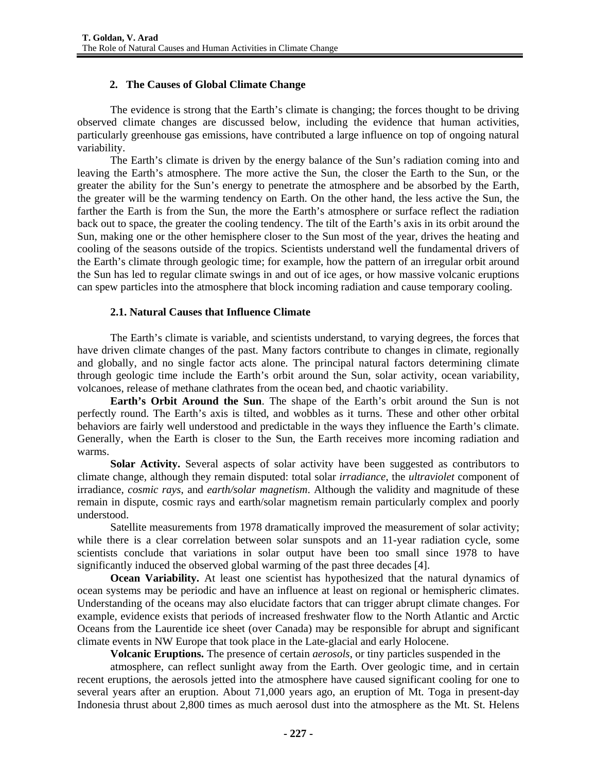## **2. The Causes of Global Climate Change**

The evidence is strong that the Earth's climate is changing; the forces thought to be driving observed climate changes are discussed below, including the evidence that human activities, particularly greenhouse gas emissions, have contributed a large influence on top of ongoing natural variability.

The Earth's climate is driven by the energy balance of the Sun's radiation coming into and leaving the Earth's atmosphere. The more active the Sun, the closer the Earth to the Sun, or the greater the ability for the Sun's energy to penetrate the atmosphere and be absorbed by the Earth, the greater will be the warming tendency on Earth. On the other hand, the less active the Sun, the farther the Earth is from the Sun, the more the Earth's atmosphere or surface reflect the radiation back out to space, the greater the cooling tendency. The tilt of the Earth's axis in its orbit around the Sun, making one or the other hemisphere closer to the Sun most of the year, drives the heating and cooling of the seasons outside of the tropics. Scientists understand well the fundamental drivers of the Earth's climate through geologic time; for example, how the pattern of an irregular orbit around the Sun has led to regular climate swings in and out of ice ages, or how massive volcanic eruptions can spew particles into the atmosphere that block incoming radiation and cause temporary cooling.

## **2.1. Natural Causes that Influence Climate**

The Earth's climate is variable, and scientists understand, to varying degrees, the forces that have driven climate changes of the past. Many factors contribute to changes in climate, regionally and globally, and no single factor acts alone. The principal natural factors determining climate through geologic time include the Earth's orbit around the Sun, solar activity, ocean variability, volcanoes, release of methane clathrates from the ocean bed, and chaotic variability.

**Earth's Orbit Around the Sun**. The shape of the Earth's orbit around the Sun is not perfectly round. The Earth's axis is tilted, and wobbles as it turns. These and other other orbital behaviors are fairly well understood and predictable in the ways they influence the Earth's climate. Generally, when the Earth is closer to the Sun, the Earth receives more incoming radiation and warms.

**Solar Activity.** Several aspects of solar activity have been suggested as contributors to climate change, although they remain disputed: total solar *irradiance*, the *ultraviolet* component of irradiance, *cosmic rays*, and *earth/solar magnetism*. Although the validity and magnitude of these remain in dispute, cosmic rays and earth/solar magnetism remain particularly complex and poorly understood.

Satellite measurements from 1978 dramatically improved the measurement of solar activity; while there is a clear correlation between solar sunspots and an 11-year radiation cycle, some scientists conclude that variations in solar output have been too small since 1978 to have significantly induced the observed global warming of the past three decades [4].

**Ocean Variability.** At least one scientist has hypothesized that the natural dynamics of ocean systems may be periodic and have an influence at least on regional or hemispheric climates. Understanding of the oceans may also elucidate factors that can trigger abrupt climate changes. For example, evidence exists that periods of increased freshwater flow to the North Atlantic and Arctic Oceans from the Laurentide ice sheet (over Canada) may be responsible for abrupt and significant climate events in NW Europe that took place in the Late-glacial and early Holocene.

**Volcanic Eruptions.** The presence of certain *aerosols*, or tiny particles suspended in the

atmosphere, can reflect sunlight away from the Earth. Over geologic time, and in certain recent eruptions, the aerosols jetted into the atmosphere have caused significant cooling for one to several years after an eruption. About 71,000 years ago, an eruption of Mt. Toga in present-day Indonesia thrust about 2,800 times as much aerosol dust into the atmosphere as the Mt. St. Helens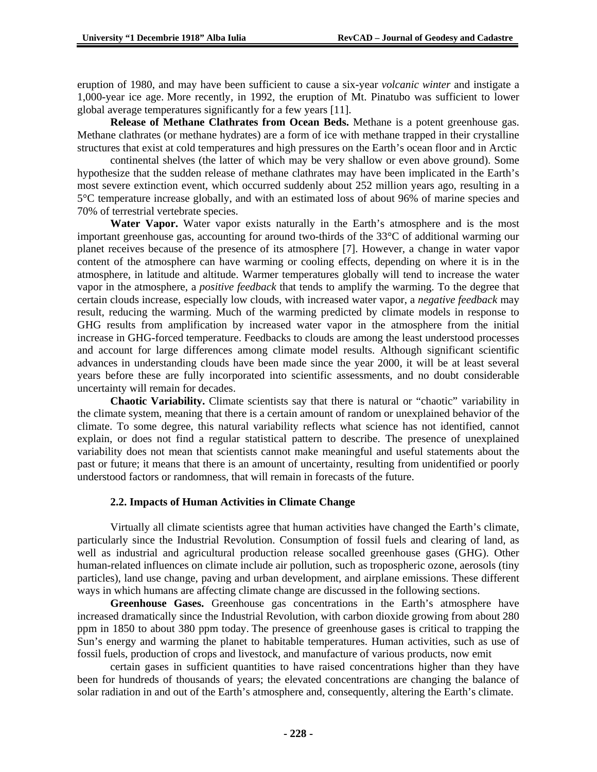eruption of 1980, and may have been sufficient to cause a six-year *volcanic winter* and instigate a 1,000-year ice age. More recently, in 1992, the eruption of Mt. Pinatubo was sufficient to lower global average temperatures significantly for a few years [11].

**Release of Methane Clathrates from Ocean Beds.** Methane is a potent greenhouse gas. Methane clathrates (or methane hydrates) are a form of ice with methane trapped in their crystalline structures that exist at cold temperatures and high pressures on the Earth's ocean floor and in Arctic

continental shelves (the latter of which may be very shallow or even above ground). Some hypothesize that the sudden release of methane clathrates may have been implicated in the Earth's most severe extinction event, which occurred suddenly about 252 million years ago, resulting in a 5°C temperature increase globally, and with an estimated loss of about 96% of marine species and 70% of terrestrial vertebrate species.

**Water Vapor.** Water vapor exists naturally in the Earth's atmosphere and is the most important greenhouse gas, accounting for around two-thirds of the 33°C of additional warming our planet receives because of the presence of its atmosphere [7]. However, a change in water vapor content of the atmosphere can have warming or cooling effects, depending on where it is in the atmosphere, in latitude and altitude. Warmer temperatures globally will tend to increase the water vapor in the atmosphere, a *positive feedback* that tends to amplify the warming. To the degree that certain clouds increase, especially low clouds, with increased water vapor, a *negative feedback* may result, reducing the warming. Much of the warming predicted by climate models in response to GHG results from amplification by increased water vapor in the atmosphere from the initial increase in GHG-forced temperature. Feedbacks to clouds are among the least understood processes and account for large differences among climate model results. Although significant scientific advances in understanding clouds have been made since the year 2000, it will be at least several years before these are fully incorporated into scientific assessments, and no doubt considerable uncertainty will remain for decades.

**Chaotic Variability.** Climate scientists say that there is natural or "chaotic" variability in the climate system, meaning that there is a certain amount of random or unexplained behavior of the climate. To some degree, this natural variability reflects what science has not identified, cannot explain, or does not find a regular statistical pattern to describe. The presence of unexplained variability does not mean that scientists cannot make meaningful and useful statements about the past or future; it means that there is an amount of uncertainty, resulting from unidentified or poorly understood factors or randomness, that will remain in forecasts of the future.

#### **2.2. Impacts of Human Activities in Climate Change**

Virtually all climate scientists agree that human activities have changed the Earth's climate, particularly since the Industrial Revolution. Consumption of fossil fuels and clearing of land, as well as industrial and agricultural production release socalled greenhouse gases (GHG). Other human-related influences on climate include air pollution, such as tropospheric ozone, aerosols (tiny particles), land use change, paving and urban development, and airplane emissions. These different ways in which humans are affecting climate change are discussed in the following sections.

**Greenhouse Gases.** Greenhouse gas concentrations in the Earth's atmosphere have increased dramatically since the Industrial Revolution, with carbon dioxide growing from about 280 ppm in 1850 to about 380 ppm today. The presence of greenhouse gases is critical to trapping the Sun's energy and warming the planet to habitable temperatures. Human activities, such as use of fossil fuels, production of crops and livestock, and manufacture of various products, now emit

certain gases in sufficient quantities to have raised concentrations higher than they have been for hundreds of thousands of years; the elevated concentrations are changing the balance of solar radiation in and out of the Earth's atmosphere and, consequently, altering the Earth's climate.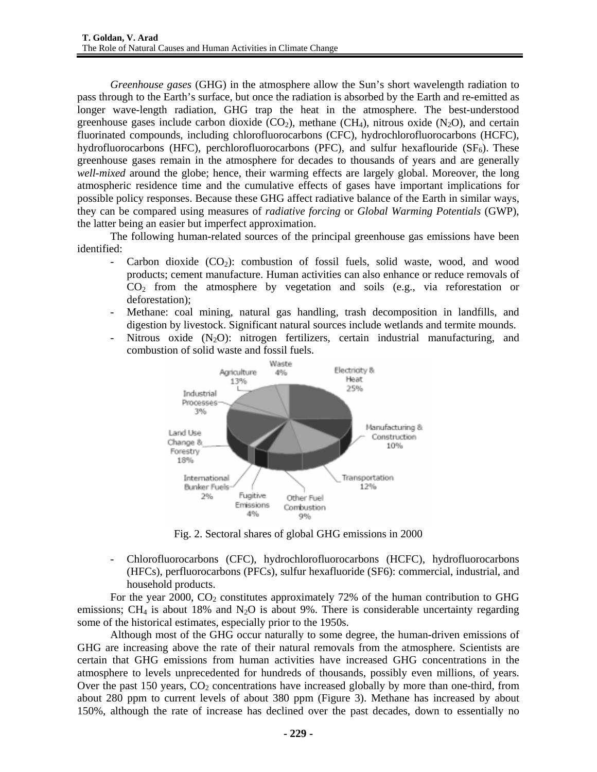*Greenhouse gases* (GHG) in the atmosphere allow the Sun's short wavelength radiation to pass through to the Earth's surface, but once the radiation is absorbed by the Earth and re-emitted as longer wave-length radiation, GHG trap the heat in the atmosphere. The best-understood greenhouse gases include carbon dioxide  $(CO_2)$ , methane  $(CH_4)$ , nitrous oxide  $(N_2O)$ , and certain fluorinated compounds, including chlorofluorocarbons (CFC), hydrochlorofluorocarbons (HCFC), hydrofluorocarbons (HFC), perchlorofluorocarbons (PFC), and sulfur hexaflouride  $(SF_6)$ . These greenhouse gases remain in the atmosphere for decades to thousands of years and are generally *well-mixed* around the globe; hence, their warming effects are largely global. Moreover, the long atmospheric residence time and the cumulative effects of gases have important implications for possible policy responses. Because these GHG affect radiative balance of the Earth in similar ways, they can be compared using measures of *radiative forcing* or *Global Warming Potentials* (GWP), the latter being an easier but imperfect approximation.

The following human-related sources of the principal greenhouse gas emissions have been identified:

- Carbon dioxide  $(CO_2)$ : combustion of fossil fuels, solid waste, wood, and wood products; cement manufacture. Human activities can also enhance or reduce removals of CO2 from the atmosphere by vegetation and soils (e.g., via reforestation or deforestation);
- Methane: coal mining, natural gas handling, trash decomposition in landfills, and digestion by livestock. Significant natural sources include wetlands and termite mounds.
- Nitrous oxide  $(N_2O)$ : nitrogen fertilizers, certain industrial manufacturing, and combustion of solid waste and fossil fuels.



Fig. 2. Sectoral shares of global GHG emissions in 2000

- Chlorofluorocarbons (CFC), hydrochlorofluorocarbons (HCFC), hydrofluorocarbons (HFCs), perfluorocarbons (PFCs), sulfur hexafluoride (SF6): commercial, industrial, and household products.

For the year 2000,  $CO<sub>2</sub>$  constitutes approximately 72% of the human contribution to GHG emissions; CH<sub>4</sub> is about 18% and N<sub>2</sub>O is about 9%. There is considerable uncertainty regarding some of the historical estimates, especially prior to the 1950s.

Although most of the GHG occur naturally to some degree, the human-driven emissions of GHG are increasing above the rate of their natural removals from the atmosphere. Scientists are certain that GHG emissions from human activities have increased GHG concentrations in the atmosphere to levels unprecedented for hundreds of thousands, possibly even millions, of years. Over the past 150 years,  $CO<sub>2</sub>$  concentrations have increased globally by more than one-third, from about 280 ppm to current levels of about 380 ppm (Figure 3). Methane has increased by about 150%, although the rate of increase has declined over the past decades, down to essentially no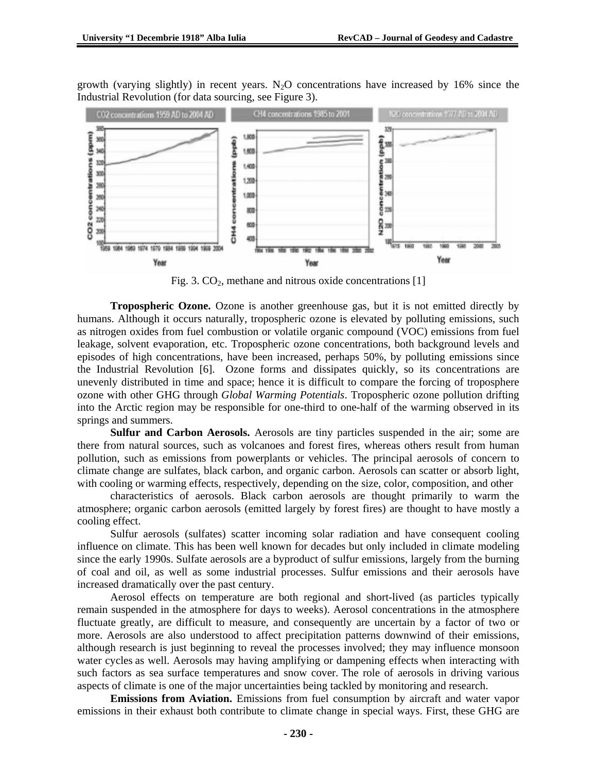growth (varying slightly) in recent years.  $N_2O$  concentrations have increased by 16% since the Industrial Revolution (for data sourcing, see Figure 3).



Fig. 3.  $CO<sub>2</sub>$ , methane and nitrous oxide concentrations [1]

**Tropospheric Ozone.** Ozone is another greenhouse gas, but it is not emitted directly by humans. Although it occurs naturally, tropospheric ozone is elevated by polluting emissions, such as nitrogen oxides from fuel combustion or volatile organic compound (VOC) emissions from fuel leakage, solvent evaporation, etc. Tropospheric ozone concentrations, both background levels and episodes of high concentrations, have been increased, perhaps 50%, by polluting emissions since the Industrial Revolution [6]. Ozone forms and dissipates quickly, so its concentrations are unevenly distributed in time and space; hence it is difficult to compare the forcing of troposphere ozone with other GHG through *Global Warming Potentials*. Tropospheric ozone pollution drifting into the Arctic region may be responsible for one-third to one-half of the warming observed in its springs and summers.

**Sulfur and Carbon Aerosols.** Aerosols are tiny particles suspended in the air; some are there from natural sources, such as volcanoes and forest fires, whereas others result from human pollution, such as emissions from powerplants or vehicles. The principal aerosols of concern to climate change are sulfates, black carbon, and organic carbon. Aerosols can scatter or absorb light, with cooling or warming effects, respectively, depending on the size, color, composition, and other

characteristics of aerosols. Black carbon aerosols are thought primarily to warm the atmosphere; organic carbon aerosols (emitted largely by forest fires) are thought to have mostly a cooling effect.

Sulfur aerosols (sulfates) scatter incoming solar radiation and have consequent cooling influence on climate. This has been well known for decades but only included in climate modeling since the early 1990s. Sulfate aerosols are a byproduct of sulfur emissions, largely from the burning of coal and oil, as well as some industrial processes. Sulfur emissions and their aerosols have increased dramatically over the past century.

Aerosol effects on temperature are both regional and short-lived (as particles typically remain suspended in the atmosphere for days to weeks). Aerosol concentrations in the atmosphere fluctuate greatly, are difficult to measure, and consequently are uncertain by a factor of two or more. Aerosols are also understood to affect precipitation patterns downwind of their emissions, although research is just beginning to reveal the processes involved; they may influence monsoon water cycles as well. Aerosols may having amplifying or dampening effects when interacting with such factors as sea surface temperatures and snow cover. The role of aerosols in driving various aspects of climate is one of the major uncertainties being tackled by monitoring and research.

**Emissions from Aviation.** Emissions from fuel consumption by aircraft and water vapor emissions in their exhaust both contribute to climate change in special ways. First, these GHG are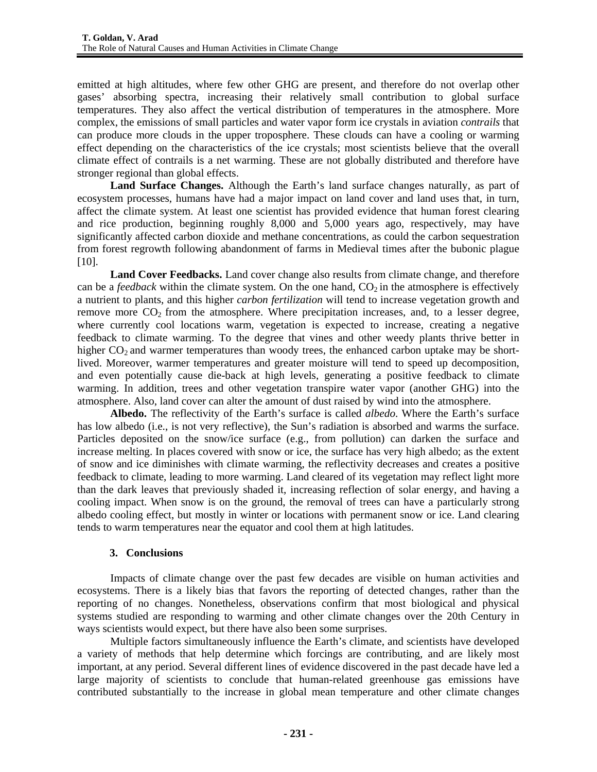emitted at high altitudes, where few other GHG are present, and therefore do not overlap other gases' absorbing spectra, increasing their relatively small contribution to global surface temperatures. They also affect the vertical distribution of temperatures in the atmosphere. More complex, the emissions of small particles and water vapor form ice crystals in aviation *contrails* that can produce more clouds in the upper troposphere. These clouds can have a cooling or warming effect depending on the characteristics of the ice crystals; most scientists believe that the overall climate effect of contrails is a net warming. These are not globally distributed and therefore have stronger regional than global effects.

**Land Surface Changes.** Although the Earth's land surface changes naturally, as part of ecosystem processes, humans have had a major impact on land cover and land uses that, in turn, affect the climate system. At least one scientist has provided evidence that human forest clearing and rice production, beginning roughly 8,000 and 5,000 years ago, respectively, may have significantly affected carbon dioxide and methane concentrations, as could the carbon sequestration from forest regrowth following abandonment of farms in Medieval times after the bubonic plague [10].

**Land Cover Feedbacks.** Land cover change also results from climate change, and therefore can be a *feedback* within the climate system. On the one hand,  $CO<sub>2</sub>$  in the atmosphere is effectively a nutrient to plants, and this higher *carbon fertilization* will tend to increase vegetation growth and remove more  $CO<sub>2</sub>$  from the atmosphere. Where precipitation increases, and, to a lesser degree, where currently cool locations warm, vegetation is expected to increase, creating a negative feedback to climate warming. To the degree that vines and other weedy plants thrive better in higher  $CO<sub>2</sub>$  and warmer temperatures than woody trees, the enhanced carbon uptake may be shortlived. Moreover, warmer temperatures and greater moisture will tend to speed up decomposition, and even potentially cause die-back at high levels, generating a positive feedback to climate warming. In addition, trees and other vegetation transpire water vapor (another GHG) into the atmosphere. Also, land cover can alter the amount of dust raised by wind into the atmosphere.

**Albedo.** The reflectivity of the Earth's surface is called *albedo*. Where the Earth's surface has low albedo (i.e., is not very reflective), the Sun's radiation is absorbed and warms the surface. Particles deposited on the snow/ice surface (e.g., from pollution) can darken the surface and increase melting. In places covered with snow or ice, the surface has very high albedo; as the extent of snow and ice diminishes with climate warming, the reflectivity decreases and creates a positive feedback to climate, leading to more warming. Land cleared of its vegetation may reflect light more than the dark leaves that previously shaded it, increasing reflection of solar energy, and having a cooling impact. When snow is on the ground, the removal of trees can have a particularly strong albedo cooling effect, but mostly in winter or locations with permanent snow or ice. Land clearing tends to warm temperatures near the equator and cool them at high latitudes.

## **3. Conclusions**

Impacts of climate change over the past few decades are visible on human activities and ecosystems. There is a likely bias that favors the reporting of detected changes, rather than the reporting of no changes. Nonetheless, observations confirm that most biological and physical systems studied are responding to warming and other climate changes over the 20th Century in ways scientists would expect, but there have also been some surprises.

Multiple factors simultaneously influence the Earth's climate, and scientists have developed a variety of methods that help determine which forcings are contributing, and are likely most important, at any period. Several different lines of evidence discovered in the past decade have led a large majority of scientists to conclude that human-related greenhouse gas emissions have contributed substantially to the increase in global mean temperature and other climate changes